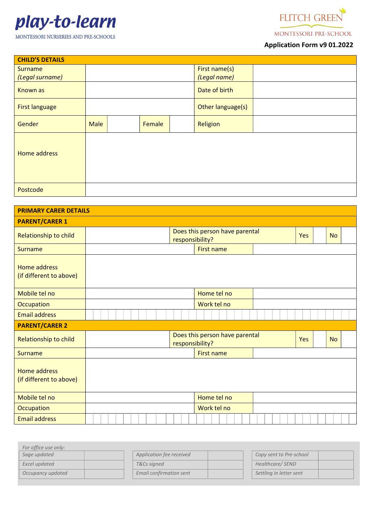



MONTESSORI PRE-SCHOOL

# Application Form v9 01.2022

| <b>CHILD'S DETAILS</b> |                |  |                   |  |               |  |  |
|------------------------|----------------|--|-------------------|--|---------------|--|--|
| Surname                |                |  |                   |  | First name(s) |  |  |
| (Legal surname)        |                |  |                   |  | (Legal name)  |  |  |
| <b>Known as</b>        |                |  |                   |  | Date of birth |  |  |
| <b>First language</b>  |                |  | Other language(s) |  |               |  |  |
| Gender                 | Male<br>Female |  | Religion          |  |               |  |  |
| Home address           |                |  |                   |  |               |  |  |
| Postcode               |                |  |                   |  |               |  |  |

| <b>PRIMARY CARER DETAILS</b>                   |                 |                                |            |           |  |
|------------------------------------------------|-----------------|--------------------------------|------------|-----------|--|
| <b>PARENT/CARER 1</b>                          |                 |                                |            |           |  |
| Relationship to child                          | responsibility? | Does this person have parental | Yes        | <b>No</b> |  |
| <b>Surname</b>                                 |                 | <b>First name</b>              |            |           |  |
| <b>Home address</b><br>(if different to above) |                 |                                |            |           |  |
| Mobile tel no                                  |                 | Home tel no                    |            |           |  |
| Occupation                                     |                 | Work tel no                    |            |           |  |
| <b>Email address</b>                           |                 |                                |            |           |  |
| <b>PARENT/CARER 2</b>                          |                 |                                |            |           |  |
| Relationship to child                          | responsibility? | Does this person have parental | <b>Yes</b> | <b>No</b> |  |
| <b>Surname</b>                                 |                 | <b>First name</b>              |            |           |  |
| <b>Home address</b><br>(if different to above) |                 |                                |            |           |  |
| Mobile tel no                                  |                 | Home tel no                    |            |           |  |
| Occupation                                     |                 | Work tel no                    |            |           |  |
| <b>Email address</b>                           |                 |                                |            |           |  |

| For office use only: |                          |                         |
|----------------------|--------------------------|-------------------------|
| Sage updated         | Application fee received | Copy sent to Pre-school |
| Excel updated        | T&Cs signed              | Healthcare/SEND         |
| Occupancy updated    | Email confirmation sent  | Settling in letter sent |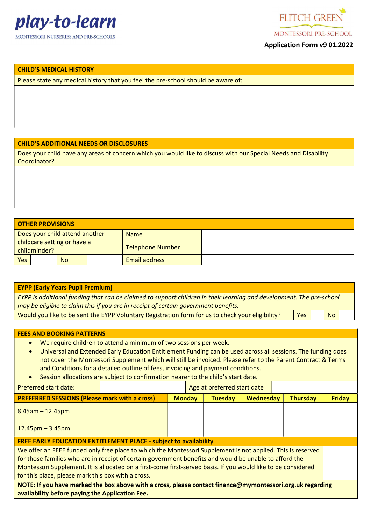



**MONTESSORI PRE-SCHOOL** 

## Application Form v9 01.2022

#### CHILD'S MEDICAL HISTORY

Please state any medical history that you feel the pre-school should be aware of:

## CHILD'S ADDITIONAL NEEDS OR DISCLOSURES

Does your child have any areas of concern which you would like to discuss with our Special Needs and Disability Coordinator?

|                                             | <b>OTHER PROVISIONS</b> |                         |  |  |  |  |
|---------------------------------------------|-------------------------|-------------------------|--|--|--|--|
| Does your child attend another              |                         | <b>Name</b>             |  |  |  |  |
| childcare setting or have a<br>childminder? |                         | <b>Telephone Number</b> |  |  |  |  |
| Yes<br><b>No</b>                            |                         | <b>Email address</b>    |  |  |  |  |

#### EYPP (Early Years Pupil Premium)

EYPP is additional funding that can be claimed to support children in their learning and development. The pre-school may be eligible to claim this if you are in receipt of certain government benefits.

Would you like to be sent the EYPP Voluntary Registration form for us to check your eligibility?  $\|$  Yes  $\|$  No

#### FEES AND BOOKING PATTERNS

- We require children to attend a minimum of two sessions per week.
- Universal and Extended Early Education Entitlement Funding can be used across all sessions. The funding does not cover the Montessori Supplement which will still be invoiced. Please refer to the Parent Contract & Terms and Conditions for a detailed outline of fees, invoicing and payment conditions.
- Session allocations are subject to confirmation nearer to the child's start date.

| <b>Preferred start date:</b>                                                                                                                                                                                                                                                                                                                                                                 |  |  | Age at preferred start date |                |           |  |                 |               |
|----------------------------------------------------------------------------------------------------------------------------------------------------------------------------------------------------------------------------------------------------------------------------------------------------------------------------------------------------------------------------------------------|--|--|-----------------------------|----------------|-----------|--|-----------------|---------------|
| <b>PREFERRED SESSIONS (Please mark with a cross)</b>                                                                                                                                                                                                                                                                                                                                         |  |  | <b>Monday</b>               | <b>Tuesday</b> | Wednesday |  | <b>Thursday</b> | <b>Friday</b> |
| $8.45$ am - 12.45pm                                                                                                                                                                                                                                                                                                                                                                          |  |  |                             |                |           |  |                 |               |
| $12.45 \text{pm} - 3.45 \text{pm}$                                                                                                                                                                                                                                                                                                                                                           |  |  |                             |                |           |  |                 |               |
| <b>FREE EARLY EDUCATION ENTITLEMENT PLACE - subject to availability</b>                                                                                                                                                                                                                                                                                                                      |  |  |                             |                |           |  |                 |               |
| We offer an FEEE funded only free place to which the Montessori Supplement is not applied. This is reserved<br>for those families who are in receipt of certain government benefits and would be unable to afford the<br>Montessori Supplement. It is allocated on a first-come first-served basis. If you would like to be considered<br>for this place, please mark this box with a cross. |  |  |                             |                |           |  |                 |               |
| NOTE: If you have marked the box above with a cross, please contact finance@mymontessori.org.uk regarding<br>availability before paying the Application Fee.                                                                                                                                                                                                                                 |  |  |                             |                |           |  |                 |               |